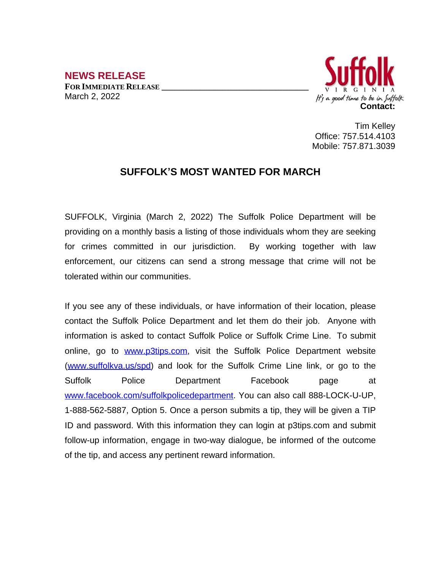**NEWS RELEASE FOR IMMEDIATE RELEASE \_\_\_\_\_\_\_\_\_\_\_\_\_\_\_\_\_\_\_\_\_\_\_\_\_\_\_\_\_\_\_\_\_\_** March 2, 2022



Tim Kelley Office: 757.514.4103 Mobile: 757.871.3039

## **SUFFOLK'S MOST WANTED FOR MARCH**

SUFFOLK, Virginia (March 2, 2022) The Suffolk Police Department will be providing on a monthly basis a listing of those individuals whom they are seeking for crimes committed in our jurisdiction. By working together with law enforcement, our citizens can send a strong message that crime will not be tolerated within our communities.

If you see any of these individuals, or have information of their location, please contact the Suffolk Police Department and let them do their job. Anyone with information is asked to contact Suffolk Police or Suffolk Crime Line. To submit online, go to [www.p3tips.com](http://www.p3tips.com), visit the Suffolk Police Department website ([www.suffolkva.us/spd](http://www.suffolkva.us/spd)) and look for the Suffolk Crime Line link, or go to the Suffolk Police Department Facebook page at [www.facebook.com/suffolkpolicedepartment](http://www.facebook.com/suffolkpolicedepartment). You can also call 888-LOCK-U-UP, 1-888-562-5887, Option 5. Once a person submits a tip, they will be given a TIP ID and password. With this information they can login at p3tips.com and submit follow-up information, engage in two-way dialogue, be informed of the outcome of the tip, and access any pertinent reward information.